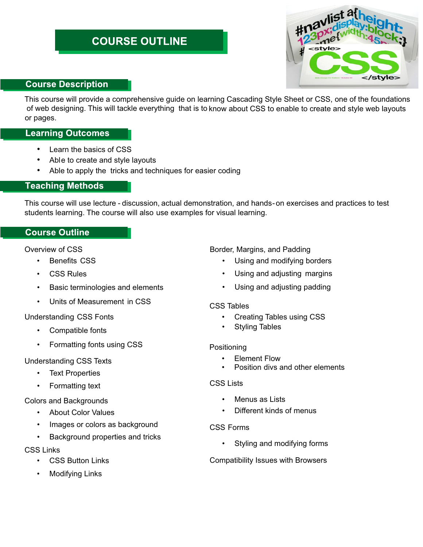# **COURSE OUTLINE**



# **Course Description**

This course will provide a comprehensive guide on learning Cascading Style Sheet or CSS, one of the foundations of web designing. This will tackle everything that is to know about CSS to enable to create and style web layouts or pages.

# **Learning Outcomes**

- Learn the basics of CSS
- Able to create and style layouts
- Able to apply the tricks and techniques for easier coding

# **Teaching Methods**

This course will use lecture - discussion, actual demonstration, and hands-on exercises and practices to test students learning. The course will also use examples for visual learning.

# **Course Outline**

Overview of CSS

- Benefits CSS
- CSS Rules
- Basic terminologies and elements
- Units of Measurement in CSS

# Understanding CSS Fonts

- Compatible fonts
- Formatting fonts using CSS

# Understanding CSS Texts

- **Text Properties**
- Formatting text

## Colors and Backgrounds

- About Color Values
- Images or colors as background
- Background properties and tricks

## CSS Links

- **CSS Button Links**
- **Modifying Links**

# Border, Margins, and Padding

- Using and modifying borders
- Using and adjusting margins
- Using and adjusting padding

## CSS Tables

- Creating Tables using CSS
- Styling Tables

# Positioning

- Element Flow
- Position divs and other elements

## CSS Lists

- Menus as Lists
- Different kinds of menus

## CSS Forms

• Styling and modifying forms

## Compatibility Issues with Browsers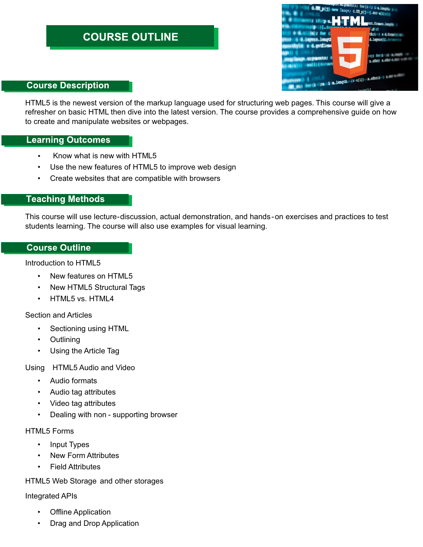# **COURSE OUTLINE**



## **Course Description**

HTML5 is the newest version of the markup language used for structuring web pages. This course will give a refresher on basic HTML then dive into the latest version. The course provides a comprehensive guide on how to create and manipulate websites or webpages.

## **Learning Outcomes**

- Know what is new with HTML5
- Use the new features of HTML5 to improve web design
- Create websites that are compatible with browsers

# **Teaching Methods**

This course will use lecture-discussion, actual demonstration, and hands-on exercises and practices to test students learning. The course will also use examples for visual learning.

## **Course Outline**

Introduction to HTML5

- New features on HTML5
- New HTML5 Structural Tags
- HTML5 vs. HTML4

## Section and Articles

- Sectioning using HTML
- Outlining
- Using the Article Tag

Using HTML5 Audio and Video

- Audio formats
- Audio tag attributes
- Video tag attributes
- Dealing with non supporting browser

#### HTML5 Forms

- Input Types
- New Form Attributes
- **Field Attributes**

## HTML5 Web Storage and other storages

## Integrated APIs

- **Offline Application**
- Drag and Drop Application